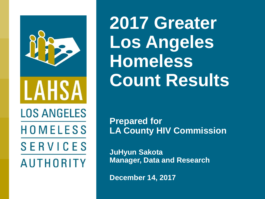

**2017 Greater Los Angeles Homeless Count Results**

**Prepared for LA County HIV Commission**

**JuHyun Sakota Manager, Data and Research**

**December 14, 2017**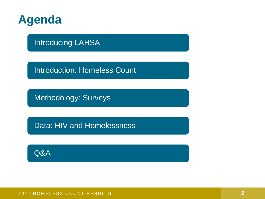

Introducing LAHSA

**Introduction: Homeless Count** 

Methodology: Surveys

Data: HIV and Homelessness

Q&A

2017 HOMELESS COUNT RESULTS **2017 HOMELESS COUNT RESULTS**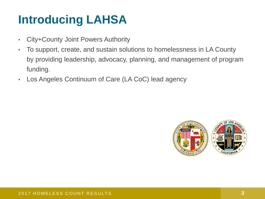## **Introducing LAHSA**

- City+County Joint Powers Authority
- To support, create, and sustain solutions to homelessness in LA County by providing leadership, advocacy, planning, and management of program funding.
- Los Angeles Continuum of Care (LA CoC) lead agency

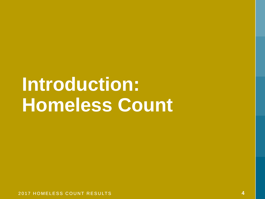# **Introduction: Homeless Count**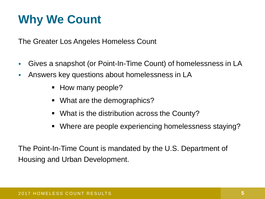## **Why We Count**

The Greater Los Angeles Homeless Count

- Gives a snapshot (or Point-In-Time Count) of homelessness in LA
- **EXECT:** Answers key questions about homelessness in LA
	- How many people?
	- What are the demographics?
	- What is the distribution across the County?
	- Where are people experiencing homelessness staying?

The Point-In-Time Count is mandated by the U.S. Department of Housing and Urban Development.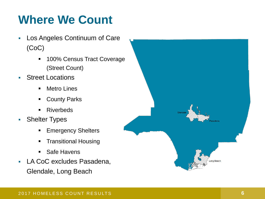## **Where We Count**

- Los Angeles Continuum of Care (CoC)
	- 100% Census Tract Coverage (Street Count)
- Street Locations
	- Metro Lines
	- County Parks
	- **Riverbeds**
- Shelter Types
	- **Emergency Shelters**
	- **Transitional Housing**
	- **Safe Havens**
- **LA CoC excludes Pasadena,** Glendale, Long Beach

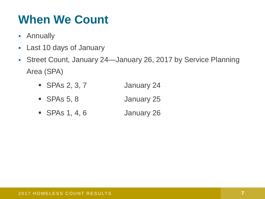## **When We Count**

- **Annually**
- Last 10 days of January
- Street Count, January 24—January 26, 2017 by Service Planning Area (SPA)
	- SPAs 2, 3, 7 January 24
	- SPAs 5, 8 January 25
	- SPAs 1, 4, 6 January 26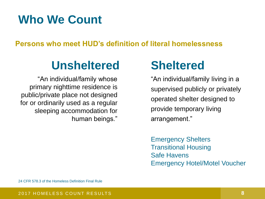## **Who We Count**

**Persons who meet HUD's definition of literal homelessness**

## **Unsheltered Sheltered**

"An individual/family whose primary nighttime residence is public/private place not designed for or ordinarily used as a regular sleeping accommodation for human beings."

"An individual/family living in a supervised publicly or privately operated shelter designed to provide temporary living arrangement."

Emergency Shelters Transitional Housing Safe Havens Emergency Hotel/Motel Voucher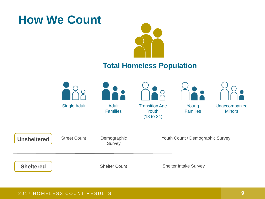## **How We Count**



### **Total Homeless Population**

|                    |                     |                                 | $\overline{\mathsf{O}}$                      |                              |                                |
|--------------------|---------------------|---------------------------------|----------------------------------------------|------------------------------|--------------------------------|
|                    | <b>Single Adult</b> | <b>Adult</b><br><b>Families</b> | <b>Transition Age</b><br>Youth<br>(18 to 24) | Young<br><b>Families</b>     | Unaccompanied<br><b>Minors</b> |
| <b>Unsheltered</b> | <b>Street Count</b> | Demographic<br>Survey           | Youth Count / Demographic Survey             |                              |                                |
| <b>Sheltered</b>   |                     | <b>Shelter Count</b>            |                                              | <b>Shelter Intake Survey</b> |                                |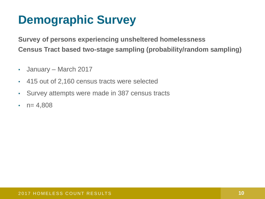## **Demographic Survey**

**Survey of persons experiencing unsheltered homelessness Census Tract based two-stage sampling (probability/random sampling)**

- January March 2017
- 415 out of 2,160 census tracts were selected
- Survey attempts were made in 387 census tracts
- $n= 4,808$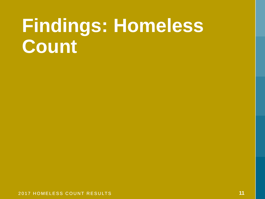## **Findings: Homeless Count**

2017 HOMELESS COUNT RESULTS **11**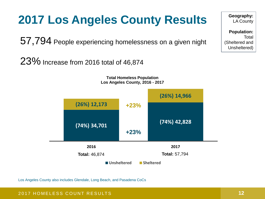## **2017 Los Angeles County Results**

57,794 People experiencing homelessness on a given night

23% Increase from 2016 total of 46,874

**Total Homeless Population Los Angeles County, 2016 - 2017**



Los Angeles County also includes Glendale, Long Beach, and Pasadena CoCs

**Geography:**  LA County

**Population: Total** (Sheltered and Unsheltered)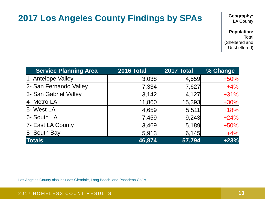### **2017 Los Angeles County Findings by SPAs**

**Geography:**  LA County

**Population:**  Total (Sheltered and Unsheltered)

| <b>Service Planning Area</b> | <b>2016 Total</b> | <b>2017 Total</b> | % Change |
|------------------------------|-------------------|-------------------|----------|
| 1- Antelope Valley           | 3,038             | 4,559             | $+50%$   |
| 2- San Fernando Valley       | 7,334             | 7,627             | $+4%$    |
| 3- San Gabriel Valley        | 3,142             | 4,127             | $+31%$   |
| $4$ - Metro LA               | 11,860            | 15,393            | $+30%$   |
| 5- West LA                   | 4,659             | 5,511             | $+18%$   |
| 6- South LA                  | 7,459             | 9,243             | $+24%$   |
| 7- East LA County            | 3,469             | 5,189             | $+50%$   |
| $8 -$ South Bay              | 5,913             | 6,145             | $+4%$    |
| <b>Totals</b>                | 46,874            | 57,794            | $+23%$   |

Los Angeles County also includes Glendale, Long Beach, and Pasadena CoCs

### 2017 HOMELESS COUNT RESULTS **13**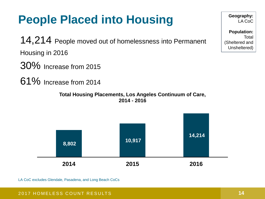## **People Placed into Housing**

14,214 People moved out of homelessness into Permanent Housing in 2016

- 30% Increase from 2015
- 61% Increase from 2014

**Total Housing Placements, Los Angeles Continuum of Care, 2014 - 2016**



LA CoC excludes Glendale, Pasadena, and Long Beach CoCs

**Geography:**  LA CoC

**Population: Total** (Sheltered and Unsheltered)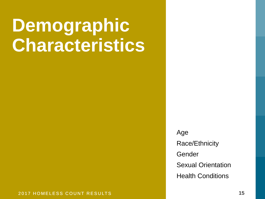## **Demographic Characteristics**

Age Race/Ethnicity Gender Sexual Orientation Health Conditions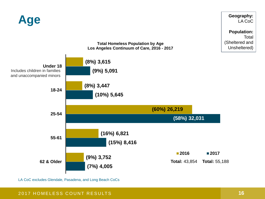

LA CoC excludes Glendale, Pasadena, and Long Beach CoCs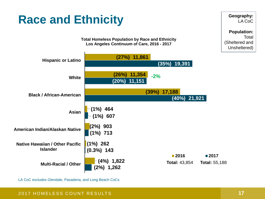## **Race and Ethnicity**

**Population:**  Total (Sheltered and Unsheltered)

**Geography:**  LA CoC



**Total Homeless Population by Race and Ethnicity Los Angeles Continuum of Care, 2016 - 2017**

LA CoC excludes Glendale, Pasadena, and Long Beach CoCs

### 2017 HOMELESS COUNT RESULTS **17**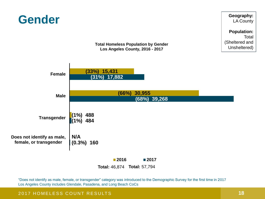

"Does not identify as male, female, or transgender" category was introduced to the Demographic Survey for the first time in 2017 Los Angeles County includes Glendale, Pasadena, and Long Beach CoCs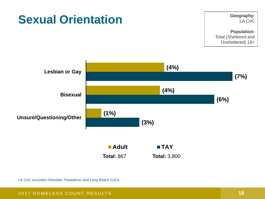

LA CoC excludes Glendale, Pasadena, and Long Beach CoCs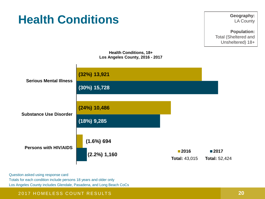## **Health Conditions**

**Geography:**  LA County

**Population:**  Total (Sheltered and Unsheltered) 18+



Question asked using response card Totals for each condition include persons 18 years and older only Los Angeles County includes Glendale, Pasadena, and Long Beach CoCs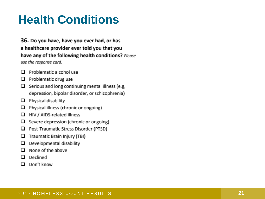## **Health Conditions**

### 36. Do you have, have you ever had, or has a healthcare provider ever told you that you have any of the following health conditions? Please use the response card.

- Problematic alcohol use □
- Problematic drug use □
- $\Box$  Serious and long continuing mental illness (e.g. depression, bipolar disorder, or schizophrenia)
- $\Box$  Physical disability
- Physical illness (chronic or ongoing) □
- $\Box$  HIV / AIDS-related illness
- Severe depression (chronic or ongoing) □
- Post-Traumatic Stress Disorder (PTSD) □
- Traumatic Brain Injury (TBI) □
- Developmental disability □
- None of the above □
- Declined □
- $\Box$  Don't know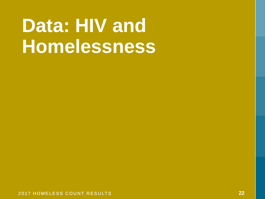# Data: HIV and **Homelessness**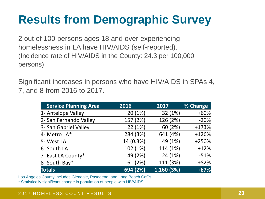## **Results from Demographic Survey**

2 out of 100 persons ages 18 and over experiencing homelessness in LA have HIV/AIDS (self-reported). (Incidence rate of HIV/AIDS in the County: 24.3 per 100,000 persons)

Significant increases in persons who have HIV/AIDS in SPAs 4, 7, and 8 from 2016 to 2017.

| <b>Service Planning Area</b> | 2016      | 2017       | % Change |
|------------------------------|-----------|------------|----------|
| 1- Antelope Valley           | 20(1%)    | 32 $(1%)$  | $+60%$   |
| 2- San Fernando Valley       | 157 (2%)  | 126 (2%)   | $-20%$   |
| 3- San Gabriel Valley        | 22(1%)    | 60(2%)     | $+173%$  |
| 4- Metro LA*                 | 284 (3%)  | 641 (4%)   | $+126%$  |
| 5- West LA                   | 14 (0.3%) | 49 (1%)    | $+250%$  |
| 6- South LA                  | 102 (1%)  | 114 (1%)   | $+12%$   |
| 7- East LA County*           | 49 (2%)   | 24(1%)     | $-51%$   |
| 8- South Bay*                | 61(2%)    | 111 (3%)   | $+82%$   |
| <b>Totals</b>                | 694(2%)   | 1,160 (3%) | $+67%$   |

Los Angeles County includes Glendale, Pasadena, and Long Beach CoCs

\* Statistically significant change in population of people with HIV/AIDS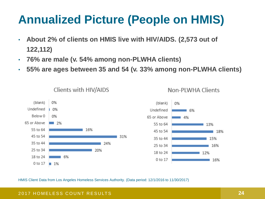## **Annualized Picture (People on HMIS)**

- **About 2% of clients on HMIS live with HIV/AIDS. (2,573 out of 122,112)**
- **76% are male (v. 54% among non-PLWHA clients)**
- **55% are ages between 35 and 54 (v. 33% among non-PLWHA clients)**



Clients with HIV/AIDS



Non-PLWHA Clients

HMIS Client Data from Los Angeles Homeless Services Authority. (Data period: 12/1/2016 to 11/30/2017)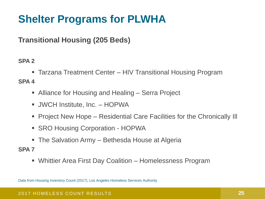## **Shelter Programs for PLWHA**

### **Transitional Housing (205 Beds)**

### **SPA 2**

■ Tarzana Treatment Center – HIV Transitional Housing Program

### **SPA 4**

- Alliance for Housing and Healing Serra Project
- **JWCH Institute, Inc. HOPWA**
- Project New Hope Residential Care Facilities for the Chronically Ill
- SRO Housing Corporation HOPWA
- The Salvation Army Bethesda House at Algeria
- **SPA 7**
	- Whittier Area First Day Coalition Homelessness Program

Data from Housing Inventory Count (2017), Los Angeles Homeless Services Authority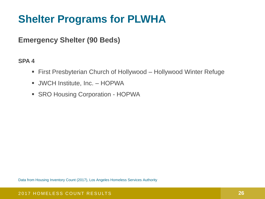### **Shelter Programs for PLWHA**

### **Emergency Shelter (90 Beds)**

### **SPA 4**

- **First Presbyterian Church of Hollywood Hollywood Winter Refuge**
- **JWCH Institute, Inc. HOPWA**
- SRO Housing Corporation HOPWA

Data from Housing Inventory Count (2017), Los Angeles Homeless Services Authority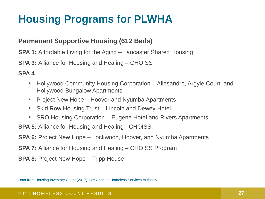## **Housing Programs for PLWHA**

### **Permanent Supportive Housing (612 Beds)**

**SPA 1:** Affordable Living for the Aging – Lancaster Shared Housing

**SPA 3:** Alliance for Housing and Healing – CHOISS

**SPA 4**

- Hollywood Community Housing Corporation Allesandro, Argyle Court, and Hollywood Bungalow Apartments
- Project New Hope Hoover and Nyumba Apartments
- Skid Row Housing Trust Lincoln and Dewey Hotel
- SRO Housing Corporation Eugene Hotel and Rivers Apartments

**SPA 5:** Alliance for Housing and Healing - CHOISS

**SPA 6:** Project New Hope – Lockwood, Hoover, and Nyumba Apartments

**SPA 7:** Alliance for Housing and Healing – CHOISS Program

**SPA 8:** Project New Hope – Tripp House

Data from Housing Inventory Count (2017), Los Angeles Homeless Services Authority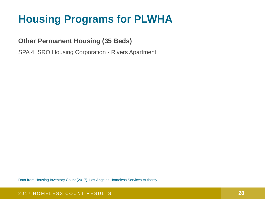## **Housing Programs for PLWHA**

### **Other Permanent Housing (35 Beds)**

SPA 4: SRO Housing Corporation - Rivers Apartment

Data from Housing Inventory Count (2017), Los Angeles Homeless Services Authority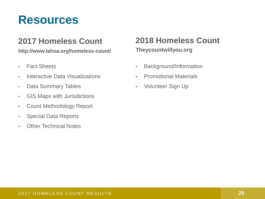## **Resources**

### **2017 Homeless Count**

**http://www.lahsa.org/homeless-count/**

- Fact Sheets
- Interactive Data Visualizations
- Data Summary Tables
- GIS Maps with Jurisdictions
- Count Methodology Report
- Special Data Reports
- Other Technical Notes

### **2018 Homeless Count Theycountwillyou.org**

- Background/Information
- Promotional Materials
- Volunteer Sign Up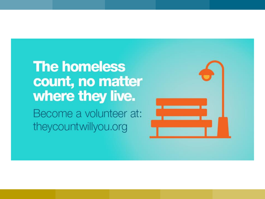## **The homeless** count, no matter where they live.

Become a volunteer at: theycountwillyou.org